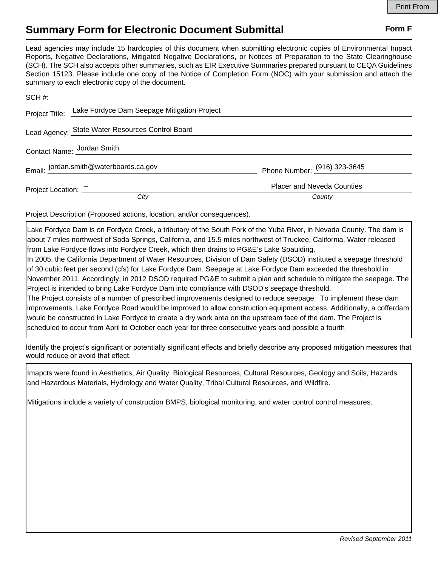## **Summary Form for Electronic Document Submittal Form F Form F**

Lead agencies may include 15 hardcopies of this document when submitting electronic copies of Environmental Impact Reports, Negative Declarations, Mitigated Negative Declarations, or Notices of Preparation to the State Clearinghouse (SCH). The SCH also accepts other summaries, such as EIR Executive Summaries prepared pursuant to CEQA Guidelines Section 15123. Please include one copy of the Notice of Completion Form (NOC) with your submission and attach the summary to each electronic copy of the document.

|                            | Project Title: Lake Fordyce Dam Seepage Mitigation Project |                                   |
|----------------------------|------------------------------------------------------------|-----------------------------------|
|                            | Lead Agency: State Water Resources Control Board           |                                   |
| Contact Name: Jordan Smith |                                                            |                                   |
|                            | Email: jordan.smith@waterboards.ca.gov                     | Phone Number: (916) 323-3645      |
|                            | Project Location: The Contract of Project Location:        | <b>Placer and Neveda Counties</b> |
|                            | City                                                       | County                            |

Project Description (Proposed actions, location, and/or consequences).

Lake Fordyce Dam is on Fordyce Creek, a tributary of the South Fork of the Yuba River, in Nevada County. The dam is about 7 miles northwest of Soda Springs, California, and 15.5 miles northwest of Truckee, California. Water released from Lake Fordyce flows into Fordyce Creek, which then drains to PG&E's Lake Spaulding.

In 2005, the California Department of Water Resources, Division of Dam Safety (DSOD) instituted a seepage threshold of 30 cubic feet per second (cfs) for Lake Fordyce Dam. Seepage at Lake Fordyce Dam exceeded the threshold in November 2011. Accordingly, in 2012 DSOD required PG&E to submit a plan and schedule to mitigate the seepage. The Project is intended to bring Lake Fordyce Dam into compliance with DSOD's seepage threshold.

The Project consists of a number of prescribed improvements designed to reduce seepage. To implement these dam improvements, Lake Fordyce Road would be improved to allow construction equipment access. Additionally, a cofferdam would be constructed in Lake Fordyce to create a dry work area on the upstream face of the dam. The Project is scheduled to occur from April to October each year for three consecutive years and possible a fourth

Identify the project's significant or potentially significant effects and briefly describe any proposed mitigation measures that would reduce or avoid that effect.

Imapcts were found in Aesthetics, Air Quality, Biological Resources, Cultural Resources, Geology and Soils, Hazards and Hazardous Materials, Hydrology and Water Quality, Tribal Cultural Resources, and Wildfire.

Mitigations include a variety of construction BMPS, biological monitoring, and water control control measures.